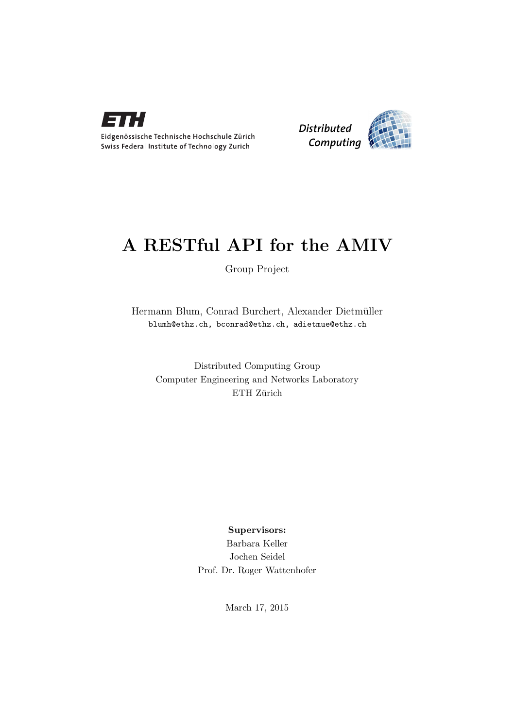



# A RESTful API for the AMIV

Group Project

Hermann Blum, Conrad Burchert, Alexander Dietmüller blumh@ethz.ch, bconrad@ethz.ch, adietmue@ethz.ch

Distributed Computing Group Computer Engineering and Networks Laboratory ETH Zürich

## Supervisors:

Barbara Keller Jochen Seidel Prof. Dr. Roger Wattenhofer

March 17, 2015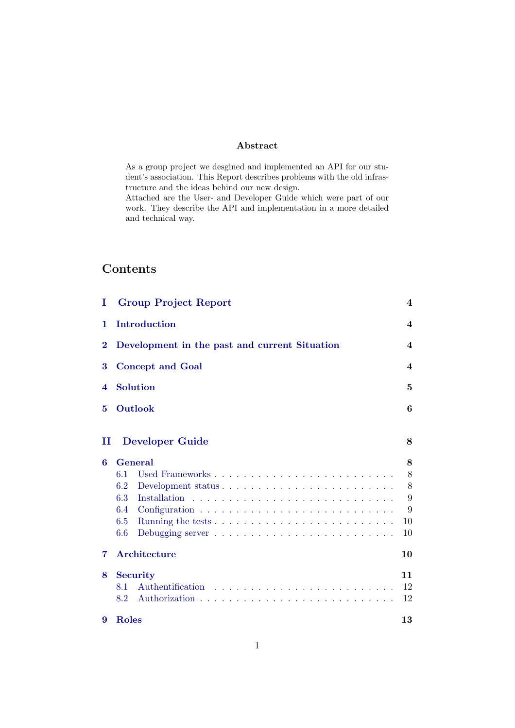### Abstract

As a group project we desgined and implemented an API for our student's association. This Report describes problems with the old infrastructure and the ideas behind our new design.

Attached are the User- and Developer Guide which were part of our work. They describe the API and implementation in a more detailed and technical way.

# **Contents**

| T        | <b>Group Project Report</b>                                                                                                                                                                                                                                       | 4                       |
|----------|-------------------------------------------------------------------------------------------------------------------------------------------------------------------------------------------------------------------------------------------------------------------|-------------------------|
| 1        | Introduction                                                                                                                                                                                                                                                      | $\overline{\mathbf{4}}$ |
| $\bf{2}$ | Development in the past and current Situation                                                                                                                                                                                                                     | $\overline{\mathbf{4}}$ |
| 3        | <b>Concept and Goal</b>                                                                                                                                                                                                                                           | $\overline{\mathbf{4}}$ |
| 4        | <b>Solution</b>                                                                                                                                                                                                                                                   | 5                       |
| 5        | Outlook                                                                                                                                                                                                                                                           | 6                       |
| п        | <b>Developer Guide</b>                                                                                                                                                                                                                                            | 8                       |
| 6        | <b>General</b>                                                                                                                                                                                                                                                    | 8                       |
|          | 6.1                                                                                                                                                                                                                                                               | 8                       |
|          | 6.2                                                                                                                                                                                                                                                               | 8                       |
|          | 6.3                                                                                                                                                                                                                                                               | 9                       |
|          | 6.4                                                                                                                                                                                                                                                               | 9                       |
|          | 6.5<br>Running the tests $\ldots \ldots \ldots \ldots \ldots \ldots \ldots \ldots \ldots$                                                                                                                                                                         | 10                      |
|          | 6.6<br>Debugging server $\dots \dots \dots \dots \dots \dots \dots \dots \dots$                                                                                                                                                                                   | 10                      |
| 7        | Architecture                                                                                                                                                                                                                                                      | 10                      |
| 8        | <b>Security</b>                                                                                                                                                                                                                                                   | 11                      |
|          | 8.1<br>Authentification<br>$\mathbb{R}^2$ . The set of the set of the set of the set of the set of the set of the set of the set of the set of the set of the set of the set of the set of the set of the set of the set of the set of the set of the set of<br>. | 12                      |
|          | 8.2                                                                                                                                                                                                                                                               | 12                      |
| 9        | Roles                                                                                                                                                                                                                                                             | 13                      |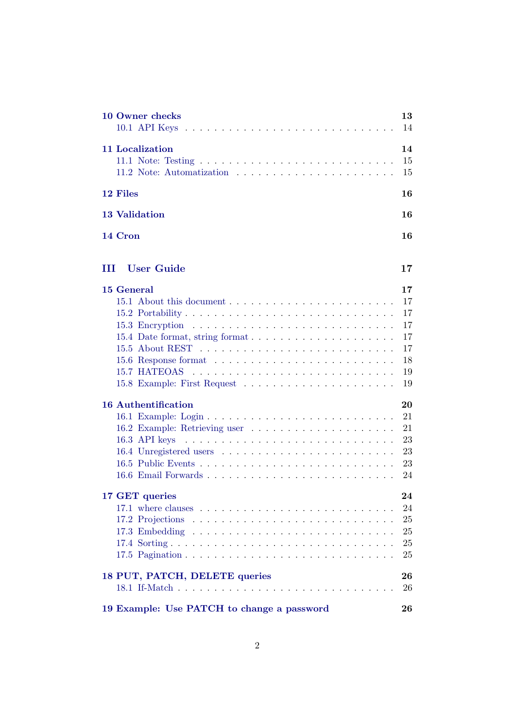| 10 Owner checks                                                                                                                                                | 13<br>14                                           |
|----------------------------------------------------------------------------------------------------------------------------------------------------------------|----------------------------------------------------|
| <b>11 Localization</b>                                                                                                                                         | 14<br>15<br>15                                     |
| 12 Files                                                                                                                                                       | 16                                                 |
| <b>13 Validation</b>                                                                                                                                           | 16                                                 |
| 14 Cron                                                                                                                                                        | 16                                                 |
| <b>User Guide</b><br>ш                                                                                                                                         | 17                                                 |
| 15 General                                                                                                                                                     | 17<br>17<br>17<br>17<br>17<br>17<br>18<br>19<br>19 |
| <b>16 Authentification</b><br>16.3 API keys<br>the contract of the contract of the contract of the contract of the contract of the contract of the contract of | 20<br>21<br>21<br>23<br>23<br>23<br>24             |
| 17 GET queries                                                                                                                                                 | 24<br>24<br>25<br>25<br>25<br>25                   |
| 18 PUT, PATCH, DELETE queries                                                                                                                                  | 26<br>26                                           |
| 19 Example: Use PATCH to change a password                                                                                                                     | 26                                                 |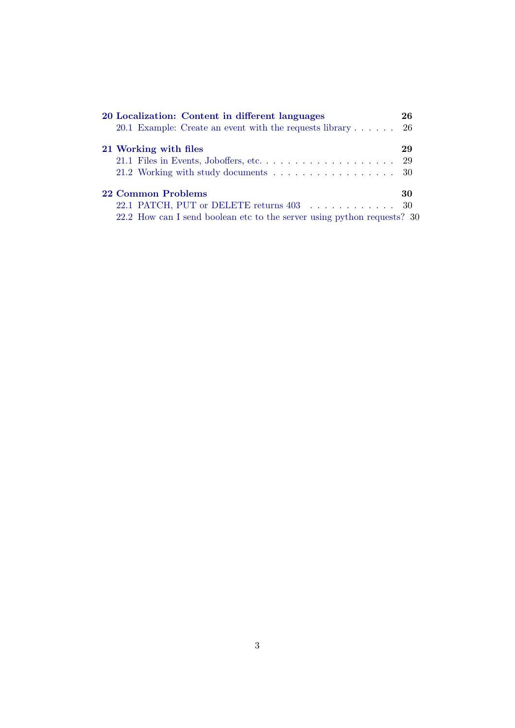| 20 Localization: Content in different languages                         | 26 |
|-------------------------------------------------------------------------|----|
| 20.1 Example: Create an event with the requests library $\dots$ .       | 26 |
| 21 Working with files                                                   | 29 |
|                                                                         |    |
| 21.2 Working with study documents 30                                    |    |
| 22 Common Problems                                                      | 30 |
|                                                                         |    |
| 22.2 How can I send boolean etc to the server using python requests? 30 |    |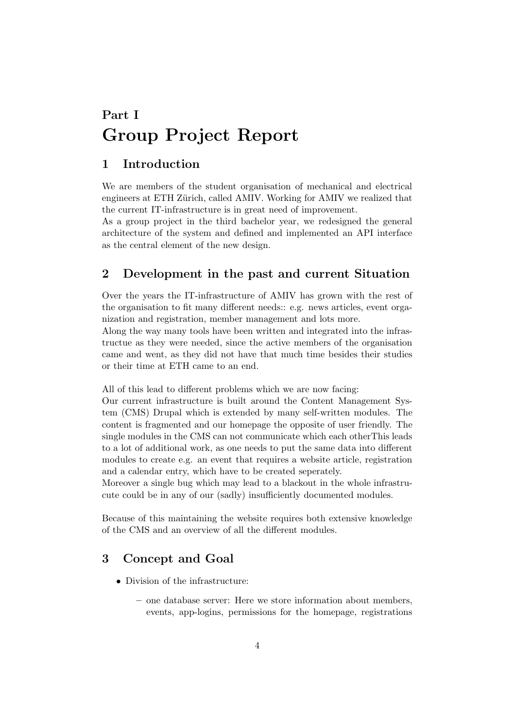# <span id="page-4-0"></span>Part I Group Project Report

# <span id="page-4-1"></span>1 Introduction

We are members of the student organisation of mechanical and electrical engineers at ETH Zürich, called AMIV. Working for AMIV we realized that the current IT-infrastructure is in great need of improvement.

As a group project in the third bachelor year, we redesigned the general architecture of the system and defined and implemented an API interface as the central element of the new design.

# <span id="page-4-2"></span>2 Development in the past and current Situation

Over the years the IT-infrastructure of AMIV has grown with the rest of the organisation to fit many different needs:: e.g. news articles, event organization and registration, member management and lots more.

Along the way many tools have been written and integrated into the infrastructue as they were needed, since the active members of the organisation came and went, as they did not have that much time besides their studies or their time at ETH came to an end.

All of this lead to different problems which we are now facing:

Our current infrastructure is built around the Content Management System (CMS) Drupal which is extended by many self-written modules. The content is fragmented and our homepage the opposite of user friendly. The single modules in the CMS can not communicate which each otherThis leads to a lot of additional work, as one needs to put the same data into different modules to create e.g. an event that requires a website article, registration and a calendar entry, which have to be created seperately.

Moreover a single bug which may lead to a blackout in the whole infrastrucute could be in any of our (sadly) insufficiently documented modules.

Because of this maintaining the website requires both extensive knowledge of the CMS and an overview of all the different modules.

# <span id="page-4-3"></span>3 Concept and Goal

- Division of the infrastructure:
	- one database server: Here we store information about members, events, app-logins, permissions for the homepage, registrations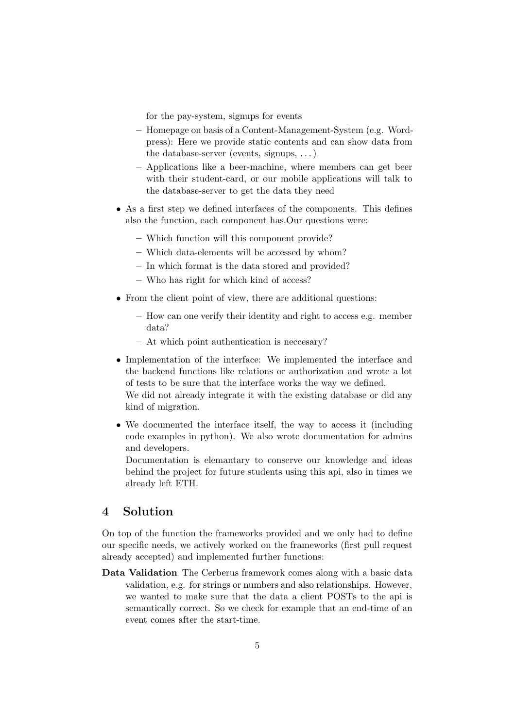for the pay-system, signups for events

- Homepage on basis of a Content-Management-System (e.g. Wordpress): Here we provide static contents and can show data from the database-server (events, signups, . . . )
- Applications like a beer-machine, where members can get beer with their student-card, or our mobile applications will talk to the database-server to get the data they need
- As a first step we defined interfaces of the components. This defines also the function, each component has.Our questions were:
	- Which function will this component provide?
	- Which data-elements will be accessed by whom?
	- In which format is the data stored and provided?
	- Who has right for which kind of access?
- From the client point of view, there are additional questions:
	- How can one verify their identity and right to access e.g. member data?
	- At which point authentication is neccesary?
- Implementation of the interface: We implemented the interface and the backend functions like relations or authorization and wrote a lot of tests to be sure that the interface works the way we defined. We did not already integrate it with the existing database or did any kind of migration.
- We documented the interface itself, the way to access it (including code examples in python). We also wrote documentation for admins and developers.

Documentation is elemantary to conserve our knowledge and ideas behind the project for future students using this api, also in times we already left ETH.

# <span id="page-5-0"></span>4 Solution

On top of the function the frameworks provided and we only had to define our specific needs, we actively worked on the frameworks (first pull request already accepted) and implemented further functions:

Data Validation The Cerberus framework comes along with a basic data validation, e.g. for strings or numbers and also relationships. However, we wanted to make sure that the data a client POSTs to the api is semantically correct. So we check for example that an end-time of an event comes after the start-time.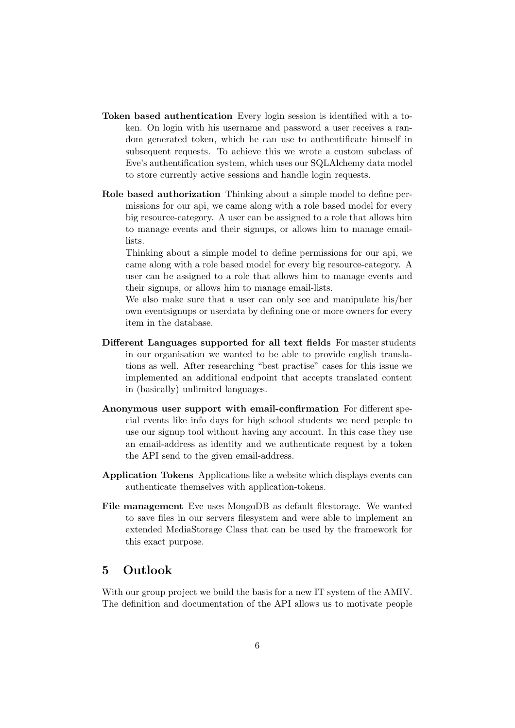- Token based authentication Every login session is identified with a token. On login with his username and password a user receives a random generated token, which he can use to authentificate himself in subsequent requests. To achieve this we wrote a custom subclass of Eve's authentification system, which uses our SQLAlchemy data model to store currently active sessions and handle login requests.
- Role based authorization Thinking about a simple model to define permissions for our api, we came along with a role based model for every big resource-category. A user can be assigned to a role that allows him to manage events and their signups, or allows him to manage emaillists.

Thinking about a simple model to define permissions for our api, we came along with a role based model for every big resource-category. A user can be assigned to a role that allows him to manage events and their signups, or allows him to manage email-lists.

We also make sure that a user can only see and manipulate his/her own eventsignups or userdata by defining one or more owners for every item in the database.

- Different Languages supported for all text fields For master students in our organisation we wanted to be able to provide english translations as well. After researching "best practise" cases for this issue we implemented an additional endpoint that accepts translated content in (basically) unlimited languages.
- Anonymous user support with email-confirmation For different special events like info days for high school students we need people to use our signup tool without having any account. In this case they use an email-address as identity and we authenticate request by a token the API send to the given email-address.
- Application Tokens Applications like a website which displays events can authenticate themselves with application-tokens.
- File management Eve uses MongoDB as default filestorage. We wanted to save files in our servers filesystem and were able to implement an extended MediaStorage Class that can be used by the framework for this exact purpose.

# <span id="page-6-0"></span>5 Outlook

With our group project we build the basis for a new IT system of the AMIV. The definition and documentation of the API allows us to motivate people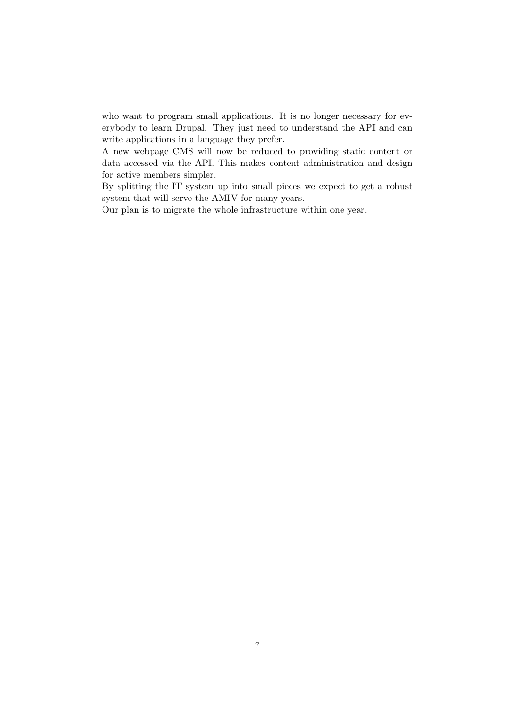who want to program small applications. It is no longer necessary for everybody to learn Drupal. They just need to understand the API and can write applications in a language they prefer.

A new webpage CMS will now be reduced to providing static content or data accessed via the API. This makes content administration and design for active members simpler.

By splitting the IT system up into small pieces we expect to get a robust system that will serve the AMIV for many years.

Our plan is to migrate the whole infrastructure within one year.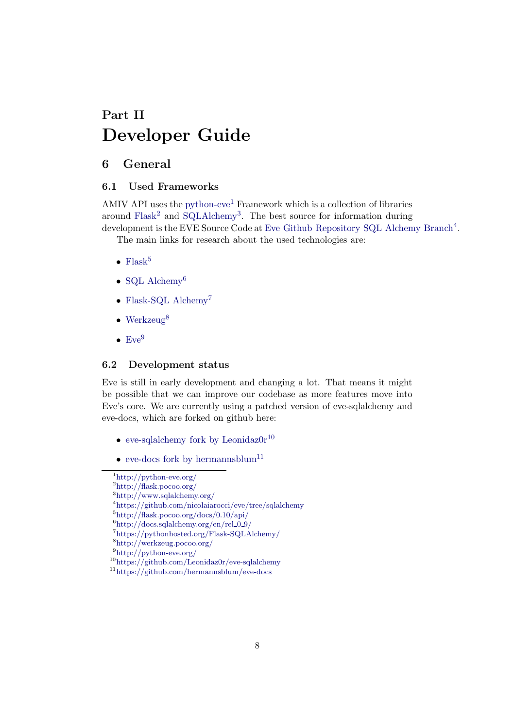# <span id="page-8-0"></span>Part II Developer Guide

# <span id="page-8-2"></span><span id="page-8-1"></span>6 General

## 6.1 Used Frameworks

AMIV API uses the [python-eve](http://python-eve.org/)<sup>[1](#page-8-4)</sup> Framework which is a collection of libraries around [Flask](http://flask.pocoo.org/)<sup>[2](#page-8-5)</sup> and [SQLAlchemy](http://www.sqlalchemy.org/)<sup>[3](#page-8-6)</sup>. The best source for information during development is the EVE Source Code at [Eve Github Repository SQL Alchemy Branch](https://github.com/nicolaiarocci/eve/tree/sqlalchemy)<sup>[4](#page-8-7)</sup>.

The main links for research about the used technologies are:

- [Flask](http://flask.pocoo.org/docs/0.10/api/)<sup>[5](#page-8-8)</sup>
- [SQL Alchemy](http://docs.sqlalchemy.org/en/rel_0_9/)<sup>[6](#page-8-9)</sup>
- [Flask-SQL Alchemy](https://pythonhosted.org/Flask-SQLAlchemy/)<sup>[7](#page-8-10)</sup>
- [Werkzeug](http://werkzeug.pocoo.org/)<sup>[8](#page-8-11)</sup>
- $\bullet$  [Eve](http://python-eve.org/)<sup>[9](#page-8-12)</sup>

## <span id="page-8-3"></span>6.2 Development status

Eve is still in early development and changing a lot. That means it might be possible that we can improve our codebase as more features move into Eve's core. We are currently using a patched version of eve-sqlalchemy and eve-docs, which are forked on github here:

- eve-sqlalchemy fork by Leonidaz $0r^{10}$  $0r^{10}$  $0r^{10}$
- [eve-docs fork by hermannsblum](https://github.com/hermannsblum/eve-docs) $^{11}$  $^{11}$  $^{11}$

<sup>1</sup> <http://python-eve.org/>

<span id="page-8-4"></span><sup>2</sup> <http://flask.pocoo.org/>

<span id="page-8-5"></span><sup>3</sup><http://www.sqlalchemy.org/>

<span id="page-8-6"></span><sup>4</sup> <https://github.com/nicolaiarocci/eve/tree/sqlalchemy>

<span id="page-8-7"></span><sup>5</sup> <http://flask.pocoo.org/docs/0.10/api/>

<span id="page-8-8"></span> $^6$ [http://docs.sqlalchemy.org/en/rel](http://docs.sqlalchemy.org/en/rel_0_9/)\_0\_9/

<span id="page-8-9"></span><sup>7</sup> <https://pythonhosted.org/Flask-SQLAlchemy/>

<span id="page-8-10"></span><sup>8</sup> <http://werkzeug.pocoo.org/>

<span id="page-8-11"></span><sup>9</sup> <http://python-eve.org/>

<span id="page-8-12"></span><sup>10</sup><https://github.com/Leonidaz0r/eve-sqlalchemy>

<span id="page-8-14"></span><span id="page-8-13"></span><sup>11</sup><https://github.com/hermannsblum/eve-docs>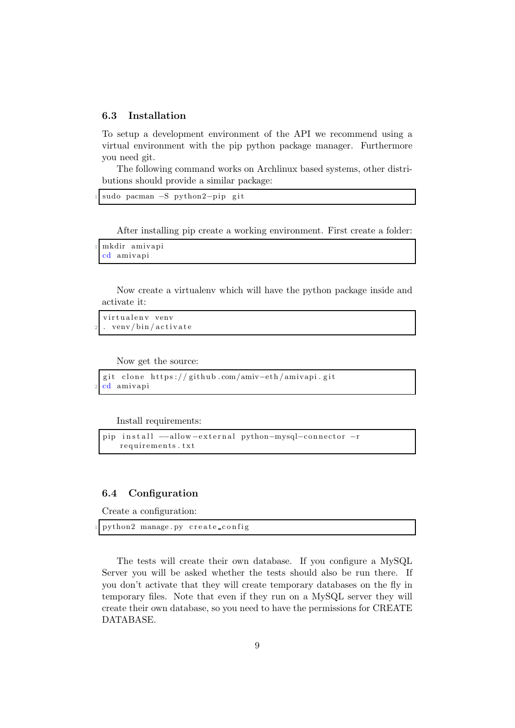#### <span id="page-9-0"></span>6.3 Installation

To setup a development environment of the API we recommend using a virtual environment with the pip python package manager. Furthermore you need git.

The following command works on Archlinux based systems, other distributions should provide a similar package:

```
sudo pacman −S python2−pip git
```
After installing pip create a working environment. First create a folder:

```
mkdir amivapi
cd amivapi
```
Now create a virtualenv which will have the python package inside and activate it:

```
virtualenv venv
 venv/bin/activate
```
Now get the source:

```
git clone https://github.com/amiv-eth/amivapi.git
cd amivapi
```
Install requirements:

```
pip install --allow-external python-mysql-connector -r
   requirements.txt
```
## <span id="page-9-1"></span>6.4 Configuration

Create a configuration:

```
python2 manage. py create_config
```
The tests will create their own database. If you configure a MySQL Server you will be asked whether the tests should also be run there. If you don't activate that they will create temporary databases on the fly in temporary files. Note that even if they run on a MySQL server they will create their own database, so you need to have the permissions for CREATE DATABASE.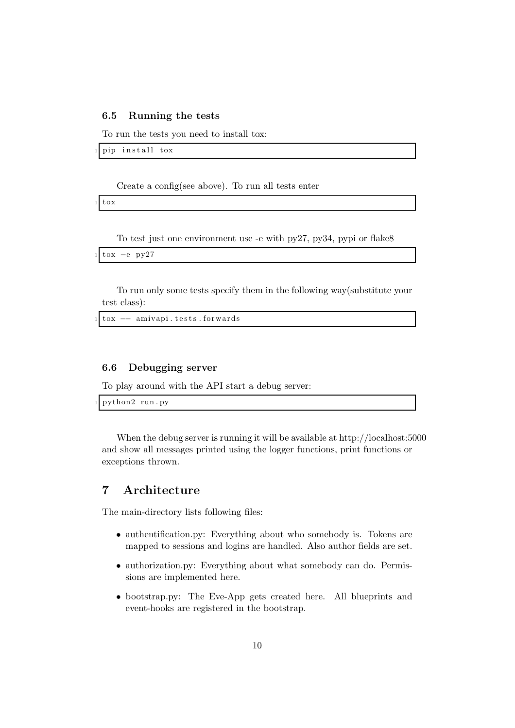#### <span id="page-10-0"></span>6.5 Running the tests

To run the tests you need to install tox:

pip install tox

Create a config(see above). To run all tests enter

tox

To test just one environment use -e with py27, py34, pypi or flake8

```
\text{tox} −e py27
```
To run only some tests specify them in the following way(substitute your test class):

tox  $-$  amivapi. tests. forwards

### <span id="page-10-1"></span>6.6 Debugging server

To play around with the API start a debug server:

python2 run.py

When the debug server is running it will be available at http://localhost:5000 and show all messages printed using the logger functions, print functions or exceptions thrown.

# <span id="page-10-2"></span>7 Architecture

The main-directory lists following files:

- authentification.py: Everything about who somebody is. Tokens are mapped to sessions and logins are handled. Also author fields are set.
- authorization.py: Everything about what somebody can do. Permissions are implemented here.
- bootstrap.py: The Eve-App gets created here. All blueprints and event-hooks are registered in the bootstrap.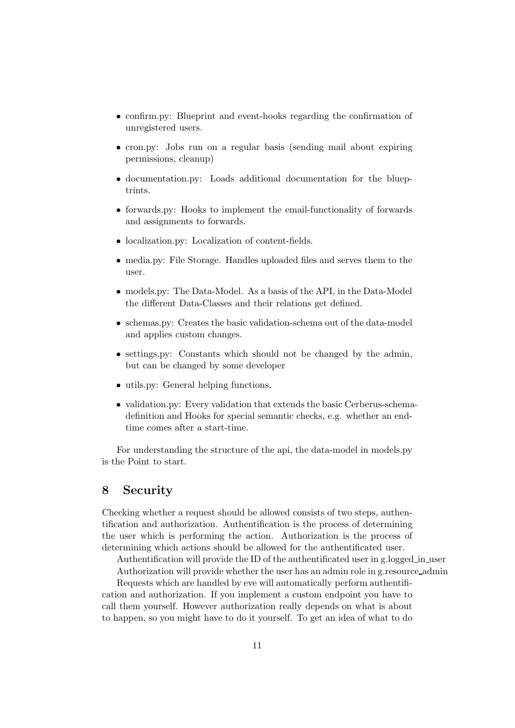- confirm.py: Blueprint and event-hooks regarding the confirmation of unregistered users.
- cron.py: Jobs run on a regular basis (sending mail about expiring permissions, cleanup)
- documentation.py: Loads additional documentation for the blueptrints.
- forwards.py: Hooks to implement the email-functionality of forwards and assignments to forwards.
- localization.py: Localization of content-fields.
- media.py: File Storage. Handles uploaded files and serves them to the user.
- models.py: The Data-Model. As a basis of the API, in the Data-Model the different Data-Classes and their relations get defined.
- schemas.py: Creates the basic validation-schema out of the data-model and applies custom changes.
- settings.py: Constants which should not be changed by the admin, but can be changed by some developer
- utils.py: General helping functions.
- validation.py: Every validation that extends the basic Cerberus-schemadefinition and Hooks for special semantic checks, e.g. whether an endtime comes after a start-time.

For understanding the structure of the api, the data-model in models.py is the Point to start.

# <span id="page-11-0"></span>8 Security

Checking whether a request should be allowed consists of two steps, authentification and authorization. Authentification is the process of determining the user which is performing the action. Authorization is the process of determining which actions should be allowed for the authentificated user.

Authentification will provide the ID of the authentificated user in g.logged in user Authorization will provide whether the user has an admin role in g.resource admin

Requests which are handled by eve will automatically perform authentification and authorization. If you implement a custom endpoint you have to

call them yourself. However authorization really depends on what is about to happen, so you might have to do it yourself. To get an idea of what to do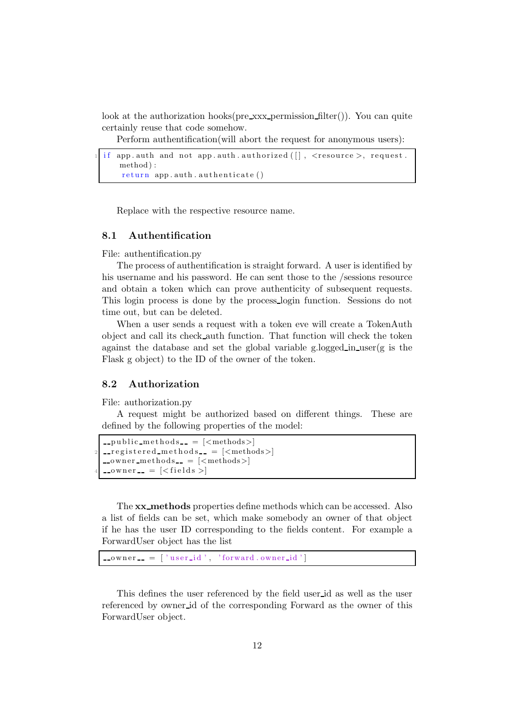look at the authorization hooks( $pre\_xxx\_permission\_filter()$ ). You can quite certainly reuse that code somehow.

Perform authentification(will abort the request for anonymous users):

```
if app . auth and not app . auth . authorized ([] , <resource >, request.
   method ) :
    return app. auth. authenticate ()
```
Replace with the respective resource name.

## <span id="page-12-0"></span>8.1 Authentification

File: authentification.py

The process of authentification is straight forward. A user is identified by his username and his password. He can sent those to the /sessions resource and obtain a token which can prove authenticity of subsequent requests. This login process is done by the process login function. Sessions do not time out, but can be deleted.

When a user sends a request with a token eve will create a TokenAuth object and call its check auth function. That function will check the token against the database and set the global variable g.logged in user $(g \text{ is the})$ Flask g object) to the ID of the owner of the token.

#### <span id="page-12-1"></span>8.2 Authorization

File: authorization.py

A request might be authorized based on different things. These are defined by the following properties of the model:

```
\text{-public\_methods}\_\text{-} = [\text{<methods>}]\text{1-} registered methods \text{2} = \text{1/} \text{2} = \text{2/}_{\rm -}owner_{\rm -}methods_{\rm -} = [_{\rm <}methods_{\rm >}]
_{\text{-}} owner _{\text{-}} = [<fields >]
```
The **xx\_methods** properties define methods which can be accessed. Also a list of fields can be set, which make somebody an owner of that object if he has the user ID corresponding to the fields content. For example a ForwardUser object has the list

```
\text{lower} = [\text{'user_id'}, \text{'forward } \text{lower_id'}]
```
This defines the user referenced by the field user id as well as the user referenced by owner id of the corresponding Forward as the owner of this ForwardUser object.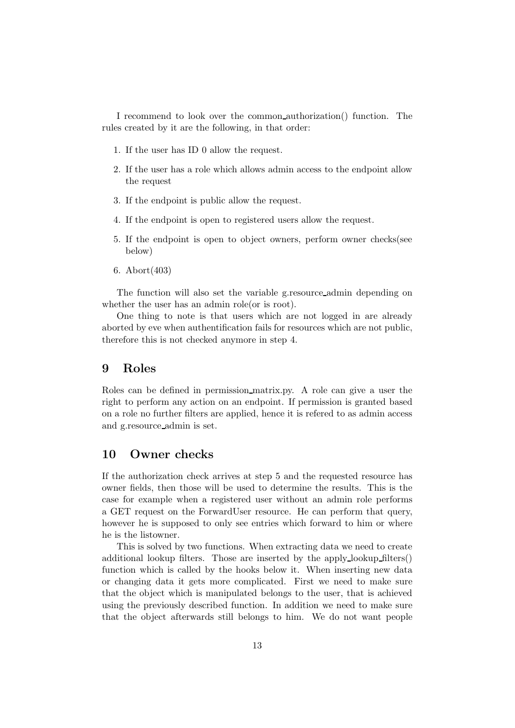I recommend to look over the common authorization() function. The rules created by it are the following, in that order:

- 1. If the user has ID 0 allow the request.
- 2. If the user has a role which allows admin access to the endpoint allow the request
- 3. If the endpoint is public allow the request.
- 4. If the endpoint is open to registered users allow the request.
- 5. If the endpoint is open to object owners, perform owner checks(see below)
- 6. Abort(403)

The function will also set the variable g.resource admin depending on whether the user has an admin role(or is root).

One thing to note is that users which are not logged in are already aborted by eve when authentification fails for resources which are not public, therefore this is not checked anymore in step 4.

# <span id="page-13-0"></span>9 Roles

Roles can be defined in permission matrix.py. A role can give a user the right to perform any action on an endpoint. If permission is granted based on a role no further filters are applied, hence it is refered to as admin access and g.resource admin is set.

## <span id="page-13-1"></span>10 Owner checks

If the authorization check arrives at step 5 and the requested resource has owner fields, then those will be used to determine the results. This is the case for example when a registered user without an admin role performs a GET request on the ForwardUser resource. He can perform that query, however he is supposed to only see entries which forward to him or where he is the listowner.

This is solved by two functions. When extracting data we need to create additional lookup filters. Those are inserted by the apply lookup filters() function which is called by the hooks below it. When inserting new data or changing data it gets more complicated. First we need to make sure that the object which is manipulated belongs to the user, that is achieved using the previously described function. In addition we need to make sure that the object afterwards still belongs to him. We do not want people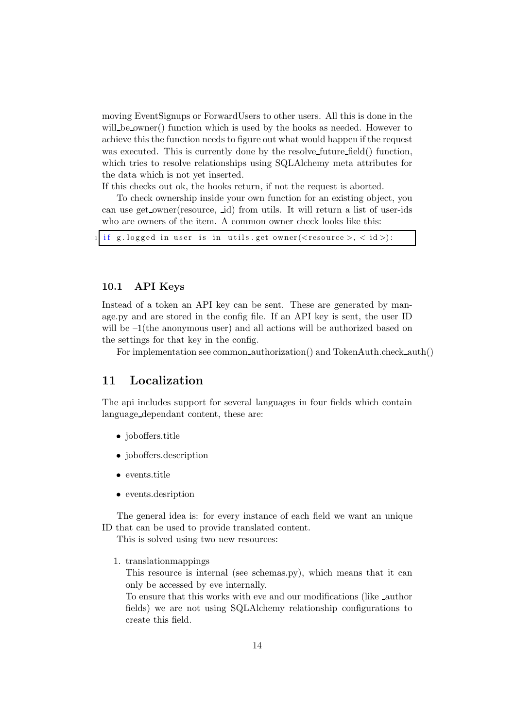moving EventSignups or ForwardUsers to other users. All this is done in the will be owner() function which is used by the hooks as needed. However to achieve this the function needs to figure out what would happen if the request was executed. This is currently done by the resolve future field() function, which tries to resolve relationships using SQLAlchemy meta attributes for the data which is not yet inserted.

If this checks out ok, the hooks return, if not the request is aborted.

To check ownership inside your own function for an existing object, you can use get owner(resource, id) from utils. It will return a list of user-ids who are owners of the item. A common owner check looks like this:

if g . logged in user is in utils . get owner ( $\langle$  resource  $\rangle$ ,  $\langle$  id  $\rangle$ ):

#### <span id="page-14-0"></span>10.1 API Keys

Instead of a token an API key can be sent. These are generated by manage.py and are stored in the config file. If an API key is sent, the user ID will be  $-1$ (the anonymous user) and all actions will be authorized based on the settings for that key in the config.

For implementation see common authorization() and TokenAuth.check auth()

## <span id="page-14-1"></span>11 Localization

The api includes support for several languages in four fields which contain language dependant content, these are:

- joboffers.title
- joboffers.description
- events.title
- events.desription

The general idea is: for every instance of each field we want an unique ID that can be used to provide translated content.

This is solved using two new resources:

1. translationmappings

This resource is internal (see schemas.py), which means that it can only be accessed by eve internally.

To ensure that this works with eve and our modifications (like author fields) we are not using SQLAlchemy relationship configurations to create this field.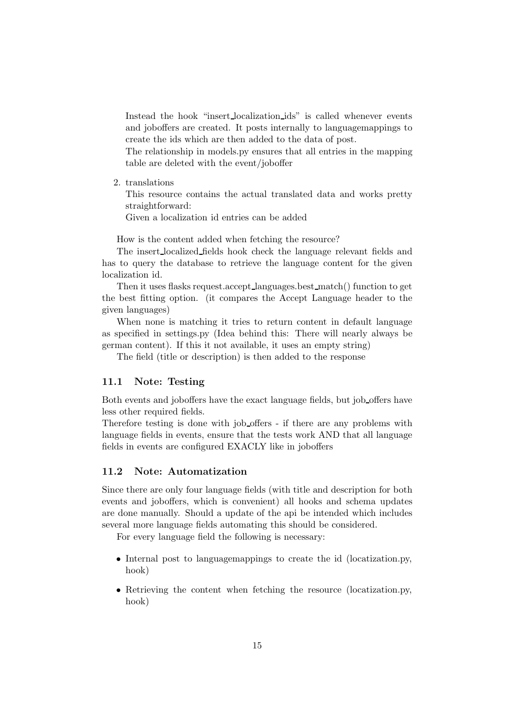Instead the hook "insert localization ids" is called whenever events and joboffers are created. It posts internally to languagemappings to create the ids which are then added to the data of post.

The relationship in models.py ensures that all entries in the mapping table are deleted with the event/joboffer

2. translations

This resource contains the actual translated data and works pretty straightforward:

Given a localization id entries can be added

How is the content added when fetching the resource?

The insert localized fields hook check the language relevant fields and has to query the database to retrieve the language content for the given localization id.

Then it uses flasks request.accept languages.best match() function to get the best fitting option. (it compares the Accept Language header to the given languages)

When none is matching it tries to return content in default language as specified in settings.py (Idea behind this: There will nearly always be german content). If this it not available, it uses an empty string)

The field (title or description) is then added to the response

#### <span id="page-15-0"></span>11.1 Note: Testing

Both events and joboffers have the exact language fields, but job offers have less other required fields.

Therefore testing is done with job offers - if there are any problems with language fields in events, ensure that the tests work AND that all language fields in events are configured EXACLY like in joboffers

## <span id="page-15-1"></span>11.2 Note: Automatization

Since there are only four language fields (with title and description for both events and joboffers, which is convenient) all hooks and schema updates are done manually. Should a update of the api be intended which includes several more language fields automating this should be considered.

For every language field the following is necessary:

- Internal post to languagemappings to create the id (locatization.py, hook)
- Retrieving the content when fetching the resource (locatization.py, hook)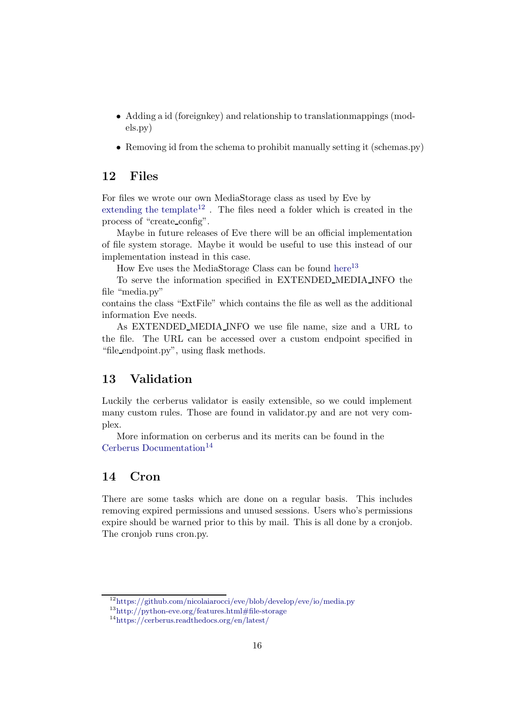- Adding a id (foreignkey) and relationship to translationmappings (models.py)
- Removing id from the schema to prohibit manually setting it (schemas.py)

# <span id="page-16-0"></span>12 Files

For files we wrote our own MediaStorage class as used by Eve by [extending the template](https://github.com/nicolaiarocci/eve/blob/develop/eve/io/media.py)<sup>[12](#page-16-3)</sup>. The files need a folder which is created in the process of "create config".

Maybe in future releases of Eve there will be an official implementation of file system storage. Maybe it would be useful to use this instead of our implementation instead in this case.

How Eve uses the MediaStorage Class can be found [here](http://python-eve.org/features.html#file-storage)<sup>[13](#page-16-4)</sup>

To serve the information specified in EXTENDED MEDIA INFO the file "media.py"

contains the class "ExtFile" which contains the file as well as the additional information Eve needs.

As EXTENDED MEDIA INFO we use file name, size and a URL to the file. The URL can be accessed over a custom endpoint specified in "file endpoint.py", using flask methods.

## <span id="page-16-1"></span>13 Validation

Luckily the cerberus validator is easily extensible, so we could implement many custom rules. Those are found in validator.py and are not very complex.

More information on cerberus and its merits can be found in the [Cerberus Documentation](https://cerberus.readthedocs.org/en/latest/)<sup>[14](#page-16-5)</sup>

# <span id="page-16-2"></span>14 Cron

There are some tasks which are done on a regular basis. This includes removing expired permissions and unused sessions. Users who's permissions expire should be warned prior to this by mail. This is all done by a cronjob. The cronjob runs cron.py.

<sup>12</sup><https://github.com/nicolaiarocci/eve/blob/develop/eve/io/media.py>

<span id="page-16-3"></span> $13$ <http://python-eve.org/features.html#file-storage>

<span id="page-16-5"></span><span id="page-16-4"></span><sup>14</sup><https://cerberus.readthedocs.org/en/latest/>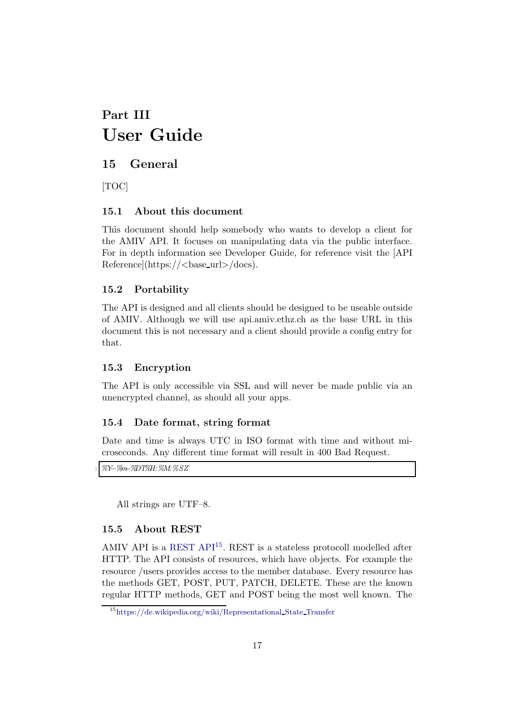# <span id="page-17-0"></span>Part III User Guide

# <span id="page-17-1"></span>15 General

[TOC]

## <span id="page-17-2"></span>15.1 About this document

This document should help somebody who wants to develop a client for the AMIV API. It focuses on manipulating data via the public interface. For in depth information see Developer Guide, for reference visit the [API Reference](https://<br/>base\_url>/docs).

## <span id="page-17-3"></span>15.2 Portability

The API is designed and all clients should be designed to be useable outside of AMIV. Although we will use api.amiv.ethz.ch as the base URL in this document this is not necessary and a client should provide a config entry for that.

## <span id="page-17-4"></span>15.3 Encryption

The API is only accessible via SSL and will never be made public via an unencrypted channel, as should all your apps.

## <span id="page-17-5"></span>15.4 Date format, string format

Date and time is always UTC in ISO format with time and without microseconds. Any different time format will result in 400 Bad Request.

<sup>1</sup> %Y−%m−%DT%H:%M:%SZ

All strings are UTF–8.

## <span id="page-17-6"></span>15.5 About REST

AMIV API is a [REST API](https://de.wikipedia.org/wiki/Representational_State_Transfer)<sup>[15](#page-17-7)</sup>. REST is a stateless protocoll modelled after HTTP. The API consists of resources, which have objects. For example the resource /users provides access to the member database. Every resource has the methods GET, POST, PUT, PATCH, DELETE. These are the known regular HTTP methods, GET and POST being the most well known. The

<span id="page-17-7"></span><sup>15</sup>[https://de.wikipedia.org/wiki/Representational](https://de.wikipedia.org/wiki/Representational_State_Transfer) State Transfer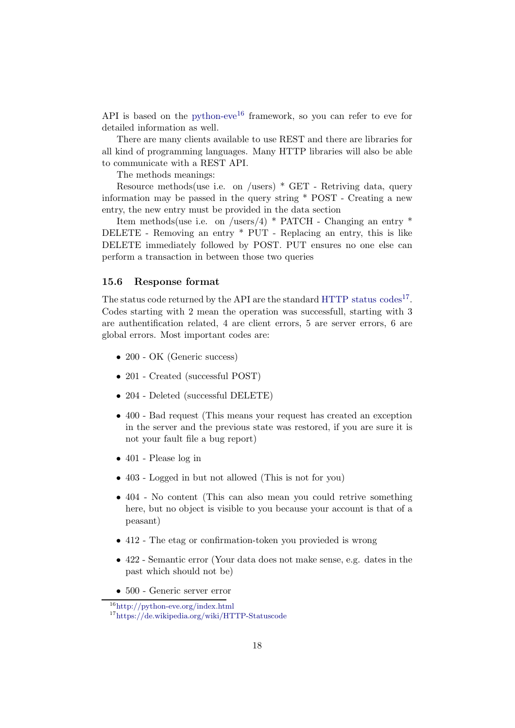API is based on the [python-eve](http://python-eve.org/index.html)<sup>[16](#page-18-1)</sup> framework, so you can refer to eve for detailed information as well.

There are many clients available to use REST and there are libraries for all kind of programming languages. Many HTTP libraries will also be able to communicate with a REST API.

The methods meanings:

Resource methods(use i.e. on /users) \* GET - Retriving data, query information may be passed in the query string \* POST - Creating a new entry, the new entry must be provided in the data section

Item methods(use i.e. on /users/4) \* PATCH - Changing an entry \* DELETE - Removing an entry \* PUT - Replacing an entry, this is like DELETE immediately followed by POST. PUT ensures no one else can perform a transaction in between those two queries

#### <span id="page-18-0"></span>15.6 Response format

The status code returned by the API are the standard HTTP status  $\text{codes}^{17}$  $\text{codes}^{17}$  $\text{codes}^{17}$ . Codes starting with 2 mean the operation was successfull, starting with 3 are authentification related, 4 are client errors, 5 are server errors, 6 are global errors. Most important codes are:

- 200 OK (Generic success)
- 201 Created (successful POST)
- 204 Deleted (successful DELETE)
- 400 Bad request (This means your request has created an exception in the server and the previous state was restored, if you are sure it is not your fault file a bug report)
- 401 Please log in
- 403 Logged in but not allowed (This is not for you)
- 404 No content (This can also mean you could retrive something here, but no object is visible to you because your account is that of a peasant)
- 412 The etag or confirmation-token you provieded is wrong
- 422 Semantic error (Your data does not make sense, e.g. dates in the past which should not be)
- 500 Generic server error

<sup>16</sup><http://python-eve.org/index.html>

<span id="page-18-2"></span><span id="page-18-1"></span><sup>17</sup><https://de.wikipedia.org/wiki/HTTP-Statuscode>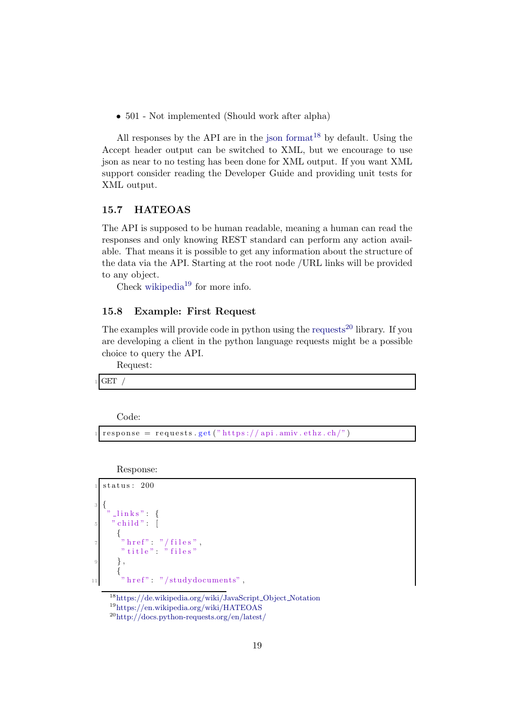• 501 - Not implemented (Should work after alpha)

All responses by the API are in the [json format](https://de.wikipedia.org/wiki/JavaScript_Object_Notation)<sup>[18](#page-19-2)</sup> by default. Using the Accept header output can be switched to XML, but we encourage to use json as near to no testing has been done for XML output. If you want XML support consider reading the Developer Guide and providing unit tests for XML output.

#### <span id="page-19-0"></span>15.7 HATEOAS

The API is supposed to be human readable, meaning a human can read the responses and only knowing REST standard can perform any action available. That means it is possible to get any information about the structure of the data via the API. Starting at the root node /URL links will be provided to any object.

Check [wikipedia](https://en.wikipedia.org/wiki/HATEOAS) $^{19}$  $^{19}$  $^{19}$  for more info.

#### <span id="page-19-1"></span>15.8 Example: First Request

The examples will provide code in python using the [requests](http://docs.python-requests.org/en/latest/)<sup>[20](#page-19-4)</sup> library. If you are developing a client in the python language requests might be a possible choice to query the API.

Request:

 $GET$ 

Code:

 $response = requests.get("https://api.amiv.ethz.ch/")$ 

Response:

```
status: 200
3 {
     \verb|links|" :
       child"
       {
          \text{href{"\texttt{m}'$} : " / \texttt{files}"" title" \ddot{ }" files"
9 },
       {
         " here f" : " / study documents" ,
```
<span id="page-19-2"></span><sup>18</sup>[https://de.wikipedia.org/wiki/JavaScript](https://de.wikipedia.org/wiki/JavaScript_Object_Notation) Object Notation <sup>19</sup><https://en.wikipedia.org/wiki/HATEOAS>

<span id="page-19-4"></span><span id="page-19-3"></span><sup>20</sup><http://docs.python-requests.org/en/latest/>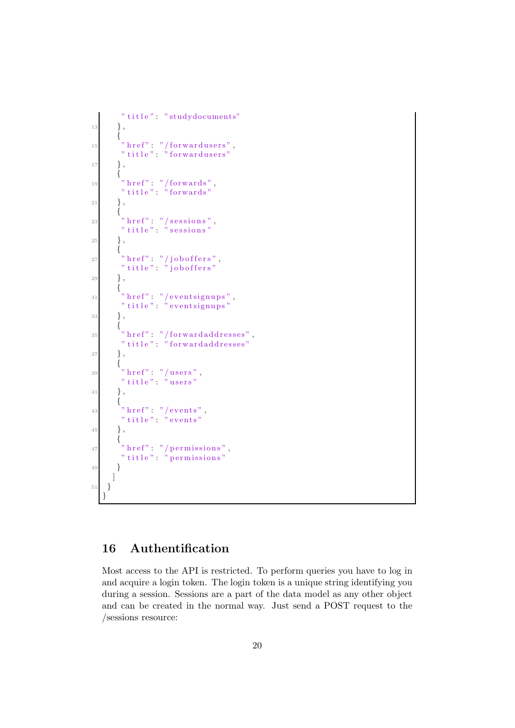```
" title": "studydocuments"
13 },
            {
\lim_{n \to \infty} \frac{m}{n} \frac{1}{n} \text{ forwards } n" t i t l e " : " for ward users "
17 },
             {
19 " href" : "/forwards",
              " title" : "forwards"
21 },
            {
^{23} \longrightarrow " \mathrm{href{\textbf{''}}:\ \ \ \textcolor{red}{\textbf{''}}} sessions" ,
               " t i t l e " : " s essions "
25 },
            {
27 " href" : " / job offers"," title": "\overline{\phantom{a}}" joboffers"
29 },
            {
\lim_{n \to \infty} \frac{1}{n} \ln \left( \frac{n}{n} \right) = \frac{n}{n} \ln \left( \frac{n}{n} \right) is \lim_{n \to \infty} \frac{n}{n} , \lim_{n \to \infty} \frac{n}{n} , \lim_{n \to \infty} \frac{n}{n} , \lim_{n \to \infty} \frac{n}{n} , \lim_{n \to \infty} \frac{n}{n} , \lim_{n \to \infty} \frac{n}{n} , \lim_{n \to \infty} \frac{n}{n} , \lim_{n \to \infty} \frac{n}{n" t i t l e " : " e v en t signups "
\begin{array}{cc} 33 & \hspace{15mm} \end{array} \hspace{10mm} \Big\} \hspace{1mm} ,{
\begin{array}{lll} \text{35} & \text{``} \text{href''} & \text{''}/\text{forward} \text{addresses''}\,, \end{array}" t i t l e " : " for w ard addresses"
37 },
             {
39 \qquad " \text{href" : "/users" ,}" t i t l e " : " u s er s "
41 },
             {
^{""""'' h r e f " : " / e v ents",
              " title": " events"
45 },
            {
47 " \frac{1}{2} " \frac{1}{2} href" : " / permissions",
              " title": " permissions"
49 }
          ]
51 }
      }
```
# <span id="page-20-0"></span>16 Authentification

Most access to the API is restricted. To perform queries you have to log in and acquire a login token. The login token is a unique string identifying you during a session. Sessions are a part of the data model as any other object and can be created in the normal way. Just send a POST request to the /sessions resource: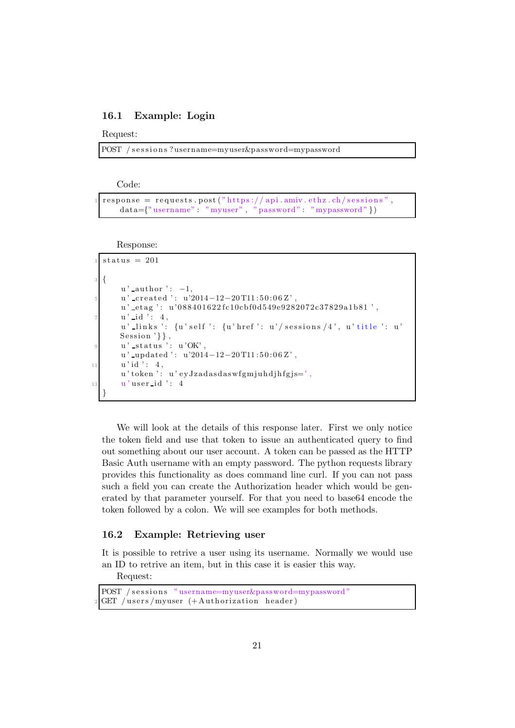#### <span id="page-21-0"></span>16.1 Example: Login

Request:

POST / sessions?username=myuser&password=mypassword

Code:

```
response = requests.\texttt{post}("https://api.aminv.ethz.ch/sessions",data={"username": "myuser", "password": "mypassword"})
```
Response:

```
status = 201\{u' _author ': -1,
       u' _created ': u'2014-12-20 T11:50:06 Z',
       u'_etag ': u'088401622fc10cbf0d549e9282072c37829a1b81',
       u' id ': 4,
       u' links ': \{u\text{'self'}: \{u\text{'href'}: } u\text{'} sessions /4', u' title ': u'
      Session '\},
       u' -status ': u'OK',
       u'_updated ': u'2014-12-20T11:50:06Z',
11 u' id ': 4,
       u' token ': u' ey Jzadasdaswfgm juhdjhfgjs=',
13 u'user_id ': 4
  }
```
We will look at the details of this response later. First we only notice the token field and use that token to issue an authenticated query to find out something about our user account. A token can be passed as the HTTP Basic Auth username with an empty password. The python requests library provides this functionality as does command line curl. If you can not pass such a field you can create the Authorization header which would be generated by that parameter yourself. For that you need to base64 encode the token followed by a colon. We will see examples for both methods.

## <span id="page-21-1"></span>16.2 Example: Retrieving user

It is possible to retrive a user using its username. Normally we would use an ID to retrive an item, but in this case it is easier this way.

Request:

```
POST / sessions "username=myuser&password=mypassword"
GET / users / myuser (+ Authorization header)
```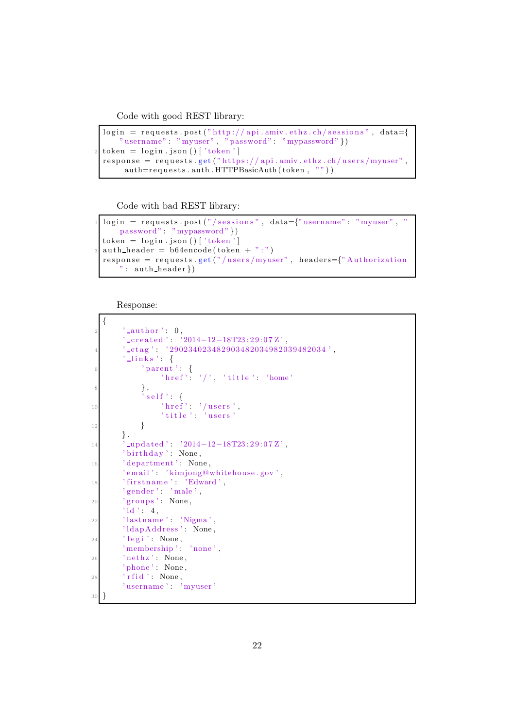Code with good REST library:

```
login = requests . post("http://api. amiv. ethz.ch/sessions", data={" username" : "myuser", "password" : "mypassword" })
\text{token} = \text{login}. \text{json}()['\text{token'}]response = requests.get("https://api.amiv.ethz.ch/users/myuser",auth=requests.auth.HTTPBasicAuth (token, ""))
```
Code with bad REST library:

```
login = requests.post("/sessions", data={"username" : "myuser", "password": "mypassword" })
token = login.ison()['token']\text{auth}\_\text{header} = \text{b64encode}(\text{token} + " : "))response = request. get ("/users/myuser", headers={"Authorization}" : \text{auth}\_\text{header}\})
```
Response:

```
{
         ' _author ': 0,
         \text{created'}: '2014-12-18T23:29:07Z'.4 ' e t a g ' : ' 29023402 3 4 8 2 9 03 4 8 2 0 34 9 8 2 0 3 94 8 2 0 3 4 ' ,
         ' links ' : {
 6 \longrightarrow ' parent ': {
                   ' href' : '/', ' title' : ' home'
             \},
              ' s e l f ' : {
10 ' h r e f ' : ' / u s e r s ' ,
                   ' title ': 'users'
12 }
        } ,
14 ' updated': '2014-12-18T23:29:07Z',
        ' birthday': None,
16 ' department': None,
        ' email ' : ' kimjong@whitehouse.gov',
18 ' firstname': 'Edward',
        ' gende r ' : ' male ' ,
20 ' groups': None,
        ' id ' : 4,
22 ' lastname': 'Nigma',
         ' ldap Address': None,
_{24} ' legi': None,
         \overline{\mathbf{v}} membership \overline{\mathbf{v}} \overline{\mathbf{v}} none \overline{\mathbf{v}} ,
26 'nethz': None,
         ' phone ': None,
28 ' r f i d' : None,
        'username': 'myuser'
30 }
```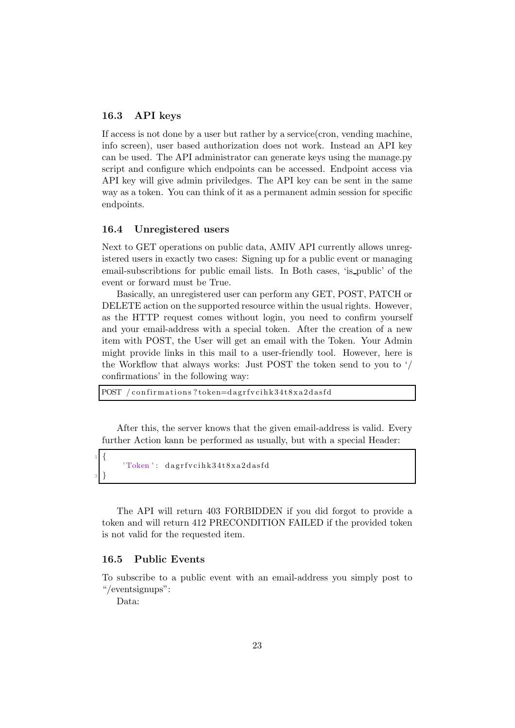#### <span id="page-23-0"></span>16.3 API keys

If access is not done by a user but rather by a service(cron, vending machine, info screen), user based authorization does not work. Instead an API key can be used. The API administrator can generate keys using the manage.py script and configure which endpoints can be accessed. Endpoint access via API key will give admin priviledges. The API key can be sent in the same way as a token. You can think of it as a permanent admin session for specific endpoints.

#### <span id="page-23-1"></span>16.4 Unregistered users

Next to GET operations on public data, AMIV API currently allows unregistered users in exactly two cases: Signing up for a public event or managing email-subscribtions for public email lists. In Both cases, 'is public' of the event or forward must be True.

Basically, an unregistered user can perform any GET, POST, PATCH or DELETE action on the supported resource within the usual rights. However, as the HTTP request comes without login, you need to confirm yourself and your email-address with a special token. After the creation of a new item with POST, the User will get an email with the Token. Your Admin might provide links in this mail to a user-friendly tool. However, here is the Workflow that always works: Just POST the token send to you to '/ confirmations' in the following way:

POST / confirmations?token=dagrfvcihk34t8xa2dasfd

After this, the server knows that the given email-address is valid. Every further Action kann be performed as usually, but with a special Header:

'Token': dagrfvcihk34t8xa2dasfd

The API will return 403 FORBIDDEN if you did forgot to provide a token and will return 412 PRECONDITION FAILED if the provided token is not valid for the requested item.

#### <span id="page-23-2"></span>16.5 Public Events

To subscribe to a public event with an email-address you simply post to "/eventsignups":

Data:

<sup>1</sup> {

<sup>3</sup> }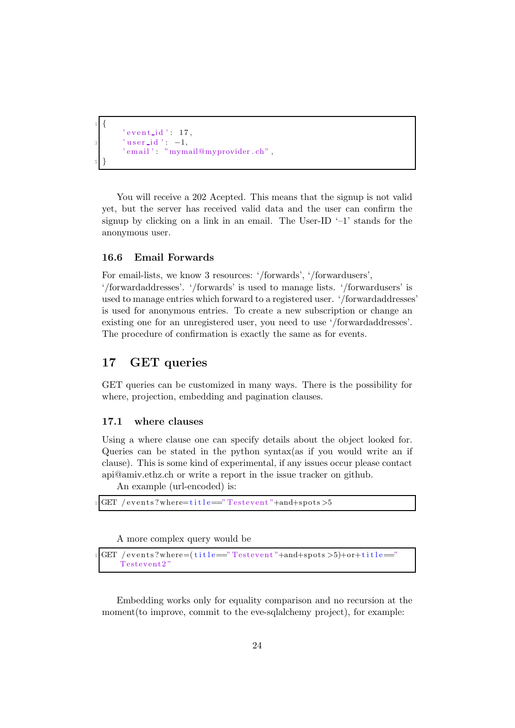```
1 {
      ' eventid': 17,
      ' user_id ': -1,
       ' email ' : " mymail@myprovider.ch",
5 }
```
You will receive a 202 Acepted. This means that the signup is not valid yet, but the server has received valid data and the user can confirm the signup by clicking on a link in an email. The User-ID  $-1$ ' stands for the anonymous user.

#### <span id="page-24-0"></span>16.6 Email Forwards

For email-lists, we know 3 resources: '/forwards', '/forwardusers',

'/forwardaddresses'. '/forwards' is used to manage lists. '/forwardusers' is used to manage entries which forward to a registered user. '/forwardaddresses' is used for anonymous entries. To create a new subscription or change an existing one for an unregistered user, you need to use '/forwardaddresses'. The procedure of confirmation is exactly the same as for events.

## <span id="page-24-1"></span>17 GET queries

GET queries can be customized in many ways. There is the possibility for where, projection, embedding and pagination clauses.

#### <span id="page-24-2"></span>17.1 where clauses

Using a where clause one can specify details about the object looked for. Queries can be stated in the python syntax(as if you would write an if clause). This is some kind of experimental, if any issues occur please contact api@amiv.ethz.ch or write a report in the issue tracker on github.

An example (url-encoded) is:

```
GET / events?where=title=="Test event"+and+spots>5
```
A more complex query would be

```
GET / events?where=(title="Testerent"+and+spots>5)+or+title=Testevent2
```
Embedding works only for equality comparison and no recursion at the moment (to improve, commit to the eve-sqlalchemy project), for example: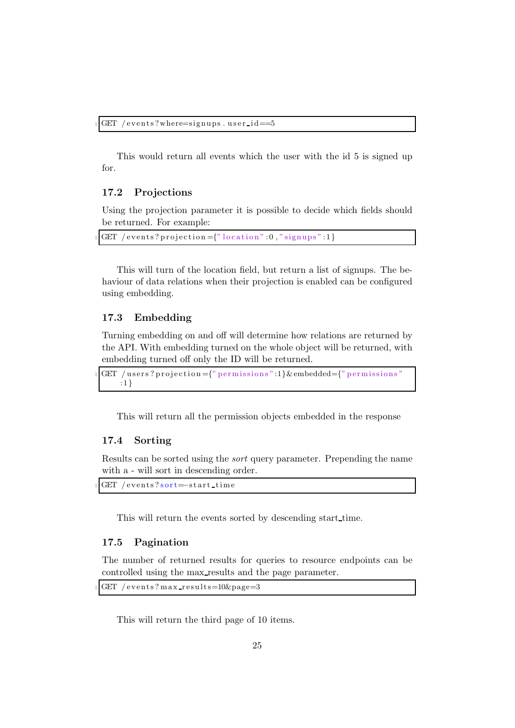This would return all events which the user with the id 5 is signed up for.

#### <span id="page-25-0"></span>17.2 Projections

Using the projection parameter it is possible to decide which fields should be returned. For example:

GET / events? projection = {" $local$ "  $: 0$ ," signups": 1}

This will turn of the location field, but return a list of signups. The behaviour of data relations when their projection is enabled can be configured using embedding.

## <span id="page-25-1"></span>17.3 Embedding

Turning embedding on and off will determine how relations are returned by the API. With embedding turned on the whole object will be returned, with embedding turned off only the ID will be returned.

```
GET / users?projection={"permissions":1}& embedded={"permissions"}
   : 1 }
```
This will return all the permission objects embedded in the response

### <span id="page-25-2"></span>17.4 Sorting

Results can be sorted using the sort query parameter. Prepending the name with a - will sort in descending order.

```
GET / events? sort=−start_time
```
This will return the events sorted by descending start time.

#### <span id="page-25-3"></span>17.5 Pagination

The number of returned results for queries to resource endpoints can be controlled using the max results and the page parameter.

```
GET / events? max\_results=10\&page=3
```
This will return the third page of 10 items.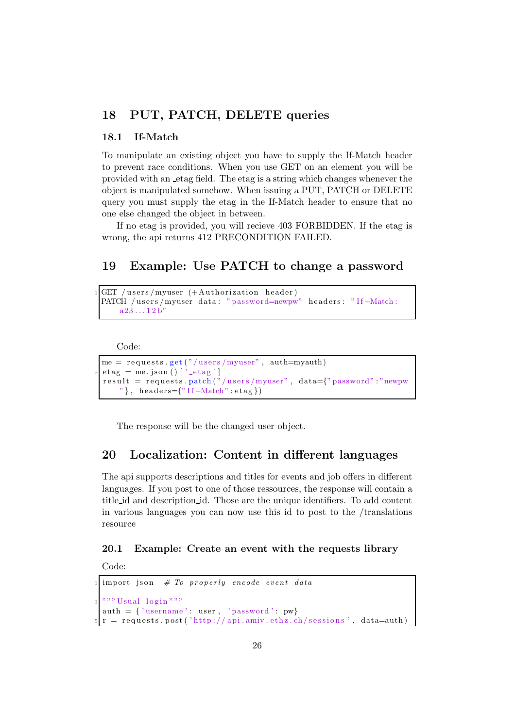# <span id="page-26-1"></span><span id="page-26-0"></span>18 PUT, PATCH, DELETE queries

#### 18.1 If-Match

To manipulate an existing object you have to supply the If-Match header to prevent race conditions. When you use GET on an element you will be provided with an etag field. The etag is a string which changes whenever the object is manipulated somehow. When issuing a PUT, PATCH or DELETE query you must supply the etag in the If-Match header to ensure that no one else changed the object in between.

If no etag is provided, you will recieve 403 FORBIDDEN. If the etag is wrong, the api returns 412 PRECONDITION FAILED.

# <span id="page-26-2"></span>19 Example: Use PATCH to change a password

```
GET / users/myuser (+ Authorization header)
PATCH /users/myuser data: "password=newpw" headers: "If-Match:
   a23...12b'
```
Code:

```
me = requests.get("/users/myuser", author=myauth)etag = me.json()['-etag']result = requests.path("lusers/myuser", data={"password" : "newpw""\}, headers={"If-Match": etag})
```
The response will be the changed user object.

## <span id="page-26-3"></span>20 Localization: Content in different languages

The api supports descriptions and titles for events and job offers in different languages. If you post to one of those ressources, the response will contain a title id and description id. Those are the unique identifiers. To add content in various languages you can now use this id to post to the /translations resource

## <span id="page-26-4"></span>20.1 Example: Create an event with the requests library

Code:

```
import json # To properly encode event data" " " Usual log in " " "auth = \{ 'username': user, 'password': pw}
r = \text{requests.post('http://api.amiv.ethz.ch/sessions', data=auth)}
```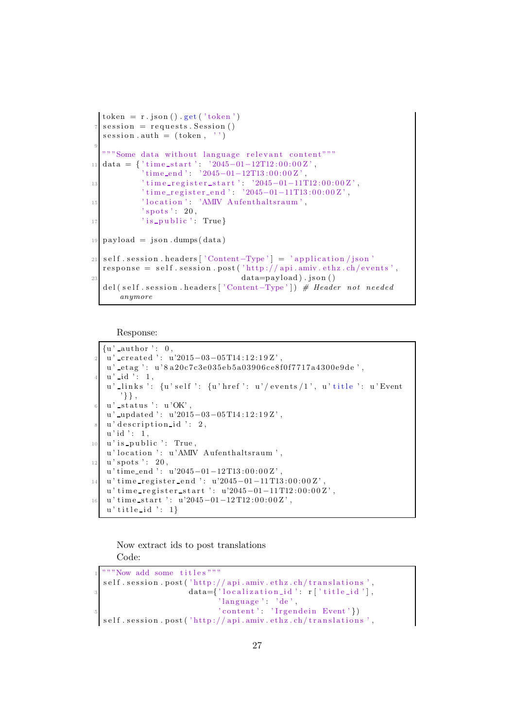```
token = r . json() . get('token')s \text{ e} \text{ s} \text{ s} \text{ i} n = requests. Session ()
  session.auth = (token, '')
 9
  " " " Some data without language relevant content" "
11 data = { 'time_start ': '2045-01-12T12:00:00Z',
            ' time_end ': '2045-01-12T13:00:00Z'
13 ' time_register_start': '2045-01-11T12:00:00Z',
            ' time_register_end ': '2045-01-11T13:00:00Z',
15 ' location': 'AMIV Aufenthaltsraum',
           "spots': 20,17 \{15 \text{ public } ' \colon \text{True }\}_{19} p ayload = json.dumps (data)
21 | self . session . headers ['Content-Type'] = 'application / json'
  response = self. session.post('http://api.amiv.ethz.ch/events',\text{data} = \text{payload}). json ()
  del (self. session.headers ['Content-Type']) # Header not needed
      anymore
```
Response:

```
\{u' author \cdot : 0,
   u' _created ': u'2015-03-05 T14:12:19Z',
   u'_etag ': u'8a20c7c3e035eb5a03906ce8f0f7717a4300e9de',
   u' id \overline{1} : 1,
   u' links ': {u' self ': {u' href ': u'/ events /1', u' title ': u' Event
       ' } } ,
   u' status ': u'OK',
   u' updated ': u'2015-03-05 T14:12:19 Z',
  u' description id ': 2,
   u' id ' : 1,
10 u' is public ': True,
   u' location ': u' AMIV Aufenthaltsraum ',
12 \mid u' spots ': 20,
   u' time_end ': u'2045-01-12T13:00:00Z',
14 u' time_register_end ': u'2045-01-11T13:00:00Z',
   u' time_register_start ': u'2045-01-11T12:00:00Z',
16 u' time_start ': u'2045-01-12T12:00:00Z',
   u' title_id ': 1}
```
Now extract ids to post translations Code:

```
" " Now add some titles" ""
self. session. post('http://api.amiv.ethz.ch/translations',data={'1}ocalization_id':r['title_id'].'language' : 'de'\{5 \text{ order} \}. 'Irgendein Event' })
self. session.post ('http://api.amiv.ethz.ch/translations',
```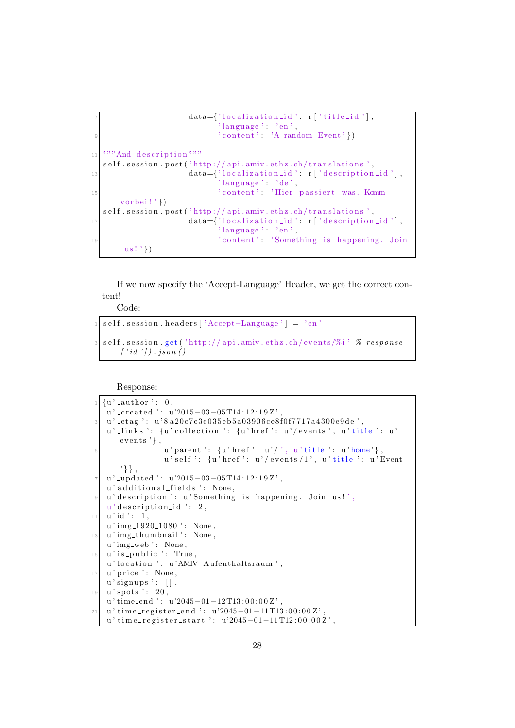```
data={'1ocalization_id': r['title_id'],' language ' : 'en',
                         ' \text{content'}: 'A \text{ random Event'}11 """ And description"""
  self.session.post('http://api.amiv.ethz.ch/translations',
13 data={'localization_id': r['description_id'],
                          ' language ' : 'de',
<sup>15</sup> ' content': 'Hier passiert was. Komm
     v or bei!'})
  self. session.post ('http://api.amiv.ethz.ch/translations',
17 data={'localization_id': r['description_id'],
                          'language ' : 'en',
19 \blacksquare ' content': 'Something is happening. Join
      us ! ' })
```
If we now specify the 'Accept-Language' Header, we get the correct content!

Code:

```
s e l f . s e s sion . h e a d ers [ 'Accept – Language '] = 'en '
self. session.get ('http://api.amiv.ethz.ch/events/%i' % response
     \left[ \begin{array}{c} i d' \\ j \end{array} \right] . json ()
```
Response:

```
\{u' \text{ -author }': 0,u'_created ': u'2015-03-05T14:12:19Z',
   u' _etag ': u'8a20c7c3e035eb5a03906ce8f0f7717a4300e9de',
   u' links ': {u' collection ': {u' href ': u'/ events ', u' title ': u'
      events ' },
                 u' parent ': {u' href ': u'/', u' title ': u' home'},
                 u' self ': \{u\} href ': u'/ events/1', u' title ': u'Event
       ' } } ,
   u' _updated ': u'2015-03-05 T14:12:19Z',
   u' additional fields ': None,
   u' description ': u' Something is happening. Join us!',
   u' description id ': 2,
11 \, u' id ': 1,
   u' img_1920_1080 ': None,
13 u' img thumbnail ': None,
   u'img_web': None,
15 \mid u' is public ': True,
   u' location ': u'AMIV Aufenthaltsraum',
17 u' price ': None,
   u' signups': \lceil \rceil,
19 u' spots ': 20,
   u' time_end ': u'2045-01-12T13:00:00Z'
_{21} u' time_register_end ': u'2045-01-11T13:00:00Z'.
   u' time_register_start ': u'2045-01-11T12:00:00Z',
```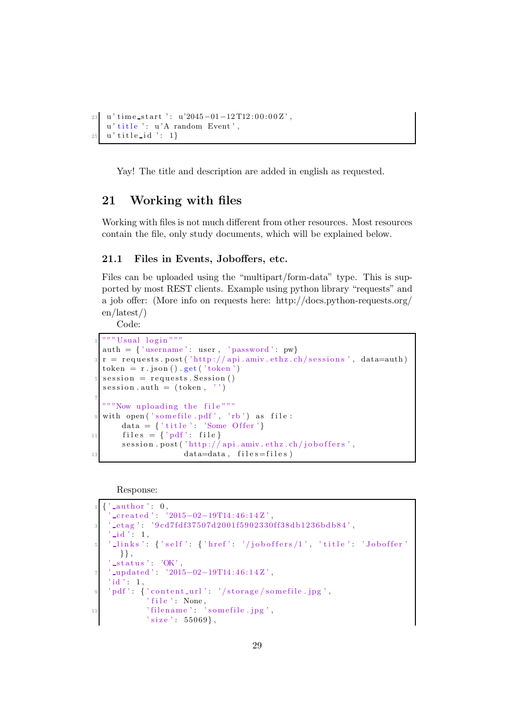```
23 u' time_start ': u'2045-01-12T12:00:00Z',
   u' title ': u'A random Event',
25 u' title_id ': 1}
```
Yay! The title and description are added in english as requested.

# <span id="page-29-0"></span>21 Working with files

Working with files is not much different from other resources. Most resources contain the file, only study documents, which will be explained below.

#### <span id="page-29-1"></span>21.1 Files in Events, Joboffers, etc.

Files can be uploaded using the "multipart/form-data" type. This is supported by most REST clients. Example using python library "requests" and a job offer: (More info on requests here: http://docs.python-requests.org/ en/latest/)

Code:

```
" " " Usual log in " " "auth = \{ 'username': user, 'password': pw \}{\bf r} = {\bf requests . post('http://api.amiv.eth/z.ch/sessions', data=auth)}token = r . json() . get('token')session = requests. Session()s \text{ e} \text{ s} \text{ s} \text{ i} . auth = (token, '')
 7
   "" "Now uploading the file"""
  with open ( ' somefile . pdf ' , ' rb ' ) as file :
        data = \{\ 'title \ ' : \ 'Some \ Offer \ '}11 \left\{\n \begin{array}{r}\n \text{files} = \{ \text{'}pdf'} : \text{file}\n \end{array}\n\right\}session . post ('http://api.amiv.ethz.ch/joboffers',
data=data, file = file s)
```
Response:

```
, ' _author ', 0 ,
     ' c r e a t e d ' : ' 2015−02−19T14 : 4 6 : 1 4 Z ' ,
    {\tt \_etag':} {\tt '9cd7fdf37507d2001f5902330ff38db1236bdb84',}id ': 1,
     \exists links ' : { 'self ': { 'href ': '/joboffers/1', 'title ': 'Joboffer'
      \},
     _ -status': 'OK',
     -updated ': '2015-02-19T14:46:14Z',
   ' id ': 1,
    ' pdf': {'content_url': '/storage/somefile.jpg',
              ' file ': None,
11 \hspace{1cm} ' filename ' : ' somefile .jpg ' ,
              's  is z e' : 55069,
```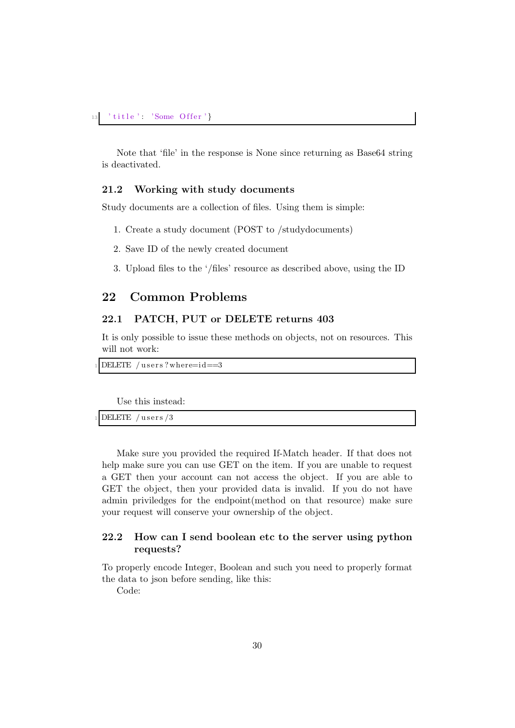Note that 'file' in the response is None since returning as Base64 string is deactivated.

#### <span id="page-30-0"></span>21.2 Working with study documents

Study documents are a collection of files. Using them is simple:

- 1. Create a study document (POST to /studydocuments)
- 2. Save ID of the newly created document
- 3. Upload files to the '/files' resource as described above, using the ID

# <span id="page-30-2"></span><span id="page-30-1"></span>22 Common Problems

## 22.1 PATCH, PUT or DELETE returns 403

It is only possible to issue these methods on objects, not on resources. This will not work:

```
DELETE / users ? where=i d==3
```
Use this instead:

DELETE / users /3

Make sure you provided the required If-Match header. If that does not help make sure you can use GET on the item. If you are unable to request a GET then your account can not access the object. If you are able to GET the object, then your provided data is invalid. If you do not have admin priviledges for the endpoint(method on that resource) make sure your request will conserve your ownership of the object.

## <span id="page-30-3"></span>22.2 How can I send boolean etc to the server using python requests?

To properly encode Integer, Boolean and such you need to properly format the data to json before sending, like this:

Code: